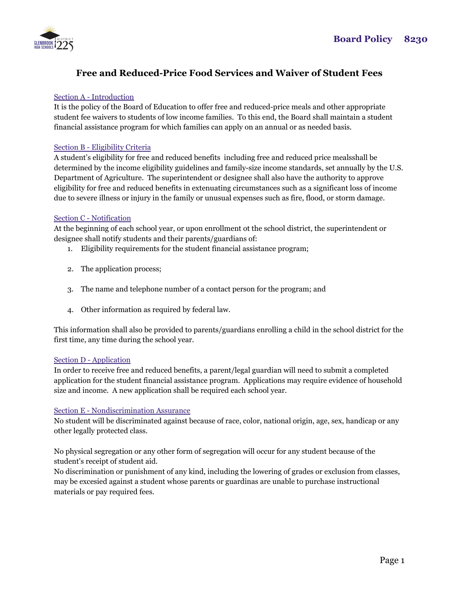

# **Free and Reduced-Price Food Services and Waiver of Student Fees**

# Section A - Introduction

It is the policy of the Board of Education to offer free and reduced-price meals and other appropriate student fee waivers to students of low income families. To this end, the Board shall maintain a student financial assistance program for which families can apply on an annual or as needed basis.

# Section B - Eligibility Criteria

A student's eligibility for free and reduced benefits including free and reduced price mealsshall be determined by the income eligibility guidelines and family-size income standards, set annually by the U.S. Department of Agriculture. The superintendent or designee shall also have the authority to approve eligibility for free and reduced benefits in extenuating circumstances such as a significant loss of income due to severe illness or injury in the family or unusual expenses such as fire, flood, or storm damage.

# Section C - Notification

At the beginning of each school year, or upon enrollment ot the school district, the superintendent or designee shall notify students and their parents/guardians of:

- 1. Eligibility requirements for the student financial assistance program;
- 2. The application process;
- 3. The name and telephone number of a contact person for the program; and
- 4. Other information as required by federal law.

This information shall also be provided to parents/guardians enrolling a child in the school district for the first time, any time during the school year.

#### Section D - Application

In order to receive free and reduced benefits, a parent/legal guardian will need to submit a completed application for the student financial assistance program. Applications may require evidence of household size and income. A new application shall be required each school year.

# Section E - Nondiscrimination Assurance

No student will be discriminated against because of race, color, national origin, age, sex, handicap or any other legally protected class.

No physical segregation or any other form of segregation will occur for any student because of the student's receipt of student aid.

No discrimination or punishment of any kind, including the lowering of grades or exclusion from classes, may be excesied against a student whose parents or guardinas are unable to purchase instructional materials or pay required fees.